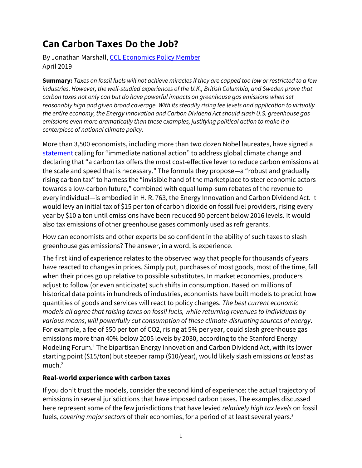# **Can Carbon Taxes Do the Job?**

By Jonathan Marshall[, CCL Economics Policy Member](https://community.citizensclimate.org/groups/home/1772) April 2019

**Summary:** *Taxes on fossil fuels will not achieve miracles if they are capped too low or restricted to a few industries. However, the well-studied experiences of the U.K., British Columbia, and Sweden prove that carbon taxes not only can but do have powerful impacts on greenhouse gas emissions when set reasonably high and given broad coverage. With its steadily rising fee levels and application to virtually the entire economy, the Energy Innovation and Carbon Dividend Act should slash U.S. greenhouse gas emissions even more dramatically than these examples, justifying political action to make it a centerpiece of national climate policy.*

More than 3,500 economists, including more than two dozen Nobel laureates, have signed a [statement](https://www.clcouncil.org/economists-statement/) calling for "immediate national action" to address global climate change and declaring that "a carbon tax offers the most cost-effective lever to reduce carbon emissions at the scale and speed that is necessary." The formula they propose—a "robust and gradually rising carbon tax" to harness the "invisible hand of the marketplace to steer economic actors towards a low-carbon future," combined with equal lump-sum rebates of the revenue to every individual—is embodied in H. R. 763, the Energy Innovation and Carbon Dividend Act. It would levy an initial tax of \$15 per ton of carbon dioxide on fossil fuel providers, rising every year by \$10 a ton until emissions have been reduced 90 percent below 2016 levels. It would also tax emissions of other greenhouse gases commonly used as refrigerants.

How can economists and other experts be so confident in the ability of such taxes to slash greenhouse gas emissions? The answer, in a word, is experience.

The first kind of experience relates to the observed way that people for thousands of years have reacted to changes in prices. Simply put, purchases of most goods, most of the time, fall when their prices go up relative to possible substitutes. In market economies, producers adjust to follow (or even anticipate) such shifts in consumption. Based on millions of historical data points in hundreds of industries, economists have built models to predict how quantities of goods and services will react to policy changes. *The best current economic models all agree that raising taxes on fossil fuels, while returning revenues to individuals by various means, will powerfully cut consumption of these climate-disrupting sources of energy*. For example, a fee of \$50 per ton of CO2, rising at 5% per year, could slash greenhouse gas emissions more than 40% below 2005 levels by 2030, according to the Stanford Energy Modeling Forum.<sup>1</sup> The bipartisan Energy Innovation and Carbon Dividend Act, with its lower starting point (\$15/ton) but steeper ramp (\$10/year), would likely slash emissions *at least* as much.<sup>2</sup>

# **Real-world experience with carbon taxes**

If you don't trust the models, consider the second kind of experience: the actual trajectory of emissions in several jurisdictions that have imposed carbon taxes. The examples discussed here represent some of the few jurisdictions that have levied *relatively high tax levels* on fossil fuels, *covering major sectors* of their economies, for a period of at least several years.<sup>3</sup>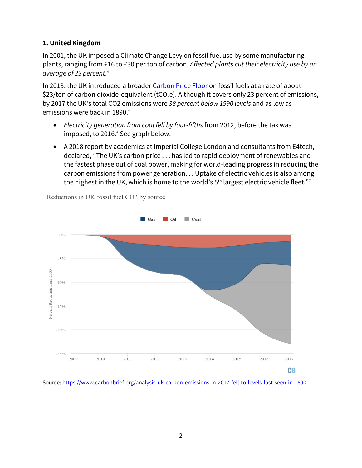## **1. United Kingdom**

In 2001, the UK imposed a Climate Change Levy on fossil fuel use by some manufacturing plants, ranging from £16 to £30 per ton of carbon. *Affected plants cut their electricity use by an average of 23 percent*. 4

In 2013, the UK introduced a broader [Carbon Price Floor](http://www.lse.ac.uk/GranthamInstitute/faqs/what-is-a-carbon-price-and-why-do-we-need-one/) on fossil fuels at a rate of about \$23/ton of carbon dioxide-equivalent (tCO<sub>2</sub>e). Although it covers only 23 percent of emissions, by 2017 the UK's total CO2 emissions were *38 percent below 1990 levels* and as low as emissions were back in 1890.<sup>5</sup>

- *Electricity generation from coal fell by four-fifths* from 2012, before the tax was imposed, to 2016.<sup>6</sup> See graph below.
- A 2018 report by academics at Imperial College London and consultants from E4tech, [declared](https://www.drax.com/press_release/uk-among-world-leaders-global-energy-revolution/), "The UK's carbon price . . . has led to rapid deployment of renewables and the fastest phase out of coal power, making for world-leading progress in reducing the carbon emissions from power generation. . . Uptake of electric vehicles is also among the highest in the UK, which is home to the world's  $5<sup>th</sup>$  largest electric vehicle fleet."<sup>7</sup>



Reductions in UK fossil fuel CO2 by source

Source[: https://www.carbonbrief.org/analysis-uk-carbon-emissions-in-2017-fell-to-levels-last-seen-in-1890](https://www.carbonbrief.org/analysis-uk-carbon-emissions-in-2017-fell-to-levels-last-seen-in-1890)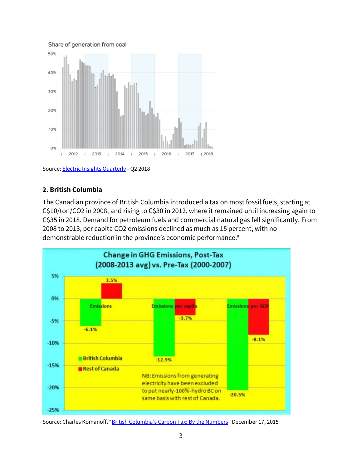Share of generation from coal



Source[: Electric Insights Quarterly](http://www.electricinsights.co.uk/#/reports/report-2018-q2/detail/britain-edges-closer-to-zero-coal) - Q2 2018

#### **2. British Columbia**

The Canadian province of British Columbia introduced a tax on most fossil fuels, starting at C\$10/ton/CO2 in 2008, and rising to C\$30 in 2012, where it remained until increasing again to C\$35 in 2018. Demand for petroleum fuels and commercial natural gas fell significantly. From 2008 to 2013, per capita CO2 emissions declined as much as 15 percent, with no demonstrable reduction in the province's economic performance. 8



Source: Charles Komanoff, ["British Columbia's Carbon Tax: By the Numbers"](https://www.carbontax.org/blog/2015/12/17/british-columbias-carbon-tax-by-the-numbers/) December 17, 2015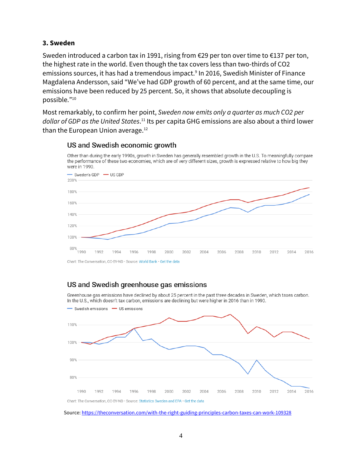### **3. Sweden**

Sweden introduced a carbon tax in 1991, rising from €29 per ton over time to €137 per ton, the highest rate in the world. Even though the tax covers less than two-thirds of CO2 emissions sources, it has had a tremendous impact.<sup>9</sup> In 2016, Swedish Minister of Finance Magdalena Andersson, said "We've had GDP growth of 60 percent, and at the same time, our emissions have been reduced by 25 percent. So, it shows that absolute decoupling is possible."<sup>10</sup>

Most remarkably, to confirm her point, *Sweden now emits only a quarter as much CO2 per*  dollar of GDP as the United States.<sup>11</sup> Its per capita GHG emissions are also about a third lower than the European Union average.<sup>12</sup>



Other than during the early 1990s, growth in Sweden has generally resembled growth in the U.S. To meaningfully compare

#### US and Swedish economic growth

Chart: The Conversation, CC-BY-ND · Source: World Bank · Get the data

# US and Swedish greenhouse gas emissions

Greenhouse gas emissions have declined by about 25 percent in the past three decades in Sweden, which taxes carbon. In the U.S., which doesn't tax carbon, emissions are declining but were higher in 2016 than in 1990.



Source[: https://theconversation.com/with-the-right-guiding-principles-carbon-taxes-can-work-109328](https://theconversation.com/with-the-right-guiding-principles-carbon-taxes-can-work-109328)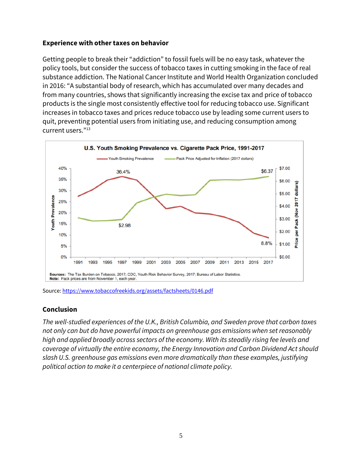#### **Experience with other taxes on behavior**

Getting people to break their "addiction" to fossil fuels will be no easy task, whatever the policy tools, but consider the success of tobacco taxes in cutting smoking in the face of real substance addiction. The National Cancer Institute and World Health Organization concluded in 2016: "A substantial body of research, which has accumulated over many decades and from many countries, shows that significantly increasing the excise tax and price of tobacco products is the single most consistently effective tool for reducing tobacco use. Significant increases in tobacco taxes and prices reduce tobacco use by leading some current users to quit, preventing potential users from initiating use, and reducing consumption among current users."<sup>13</sup>



Source[: https://www.tobaccofreekids.org/assets/factsheets/0146.pdf](https://www.tobaccofreekids.org/assets/factsheets/0146.pdf)

#### **Conclusion**

*The well-studied experiences of the U.K., British Columbia, and Sweden prove that carbon taxes not only can but do have powerful impacts on greenhouse gas emissions when set reasonably high and applied broadly across sectors of the economy. With its steadily rising fee levels and coverage of virtually the entire economy, the Energy Innovation and Carbon Dividend Act should slash U.S. greenhouse gas emissions even more dramatically than these examples, justifying political action to make it a centerpiece of national climate policy.*